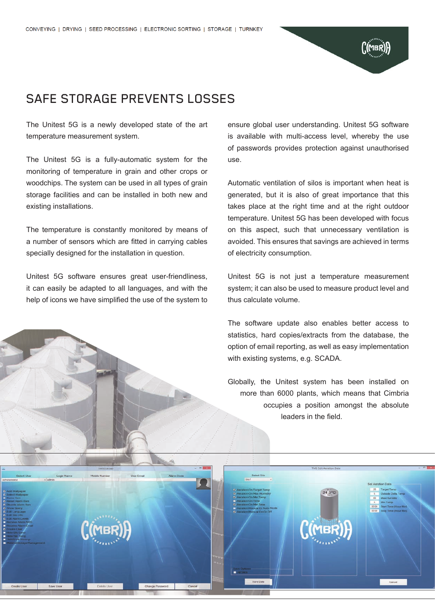## SAFE STORAGE PREVENTS LOSSES

The Unitest 5G is a newly developed state of the art temperature measurement system.

The Unitest 5G is a fully-automatic system for the monitoring of temperature in grain and other crops or woodchips. The system can be used in all types of grain storage facilities and can be installed in both new and existing installations.

The temperature is constantly monitored by means of a number of sensors which are fitted in carrying cables specially designed for the installation in question.

Unitest 5G software ensures great user-friendliness, it can easily be adapted to all languages, and with the help of icons we have simplified the use of the system to ensure global user understanding. Unitest 5G software is available with multi-access level, whereby the use of passwords provides protection against unauthorised use.

Automatic ventilation of silos is important when heat is generated, but it is also of great importance that this takes place at the right time and at the right outdoor temperature. Unitest 5G has been developed with focus on this aspect, such that unnecessary ventilation is avoided. This ensures that savings are achieved in terms of electricity consumption.

Unitest 5G is not just a temperature measurement system; it can also be used to measure product level and thus calculate volume.

The software update also enables better access to statistics, hard copies/extracts from the database, the option of email reporting, as well as easy implementation with existing systems, e.g. SCADA.

Globally, the Unitest system has been installed on more than 6000 plants, which means that Cimbria occupies a position amongst the absolute leaders in the field.